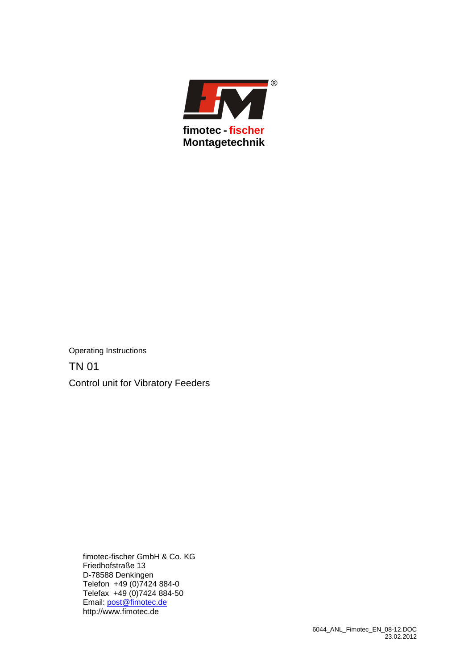

Operating Instructions TN 01 Control unit for Vibratory Feeders

> fimotec-fischer GmbH & Co. KG Friedhofstraße 13 D-78588 Denkingen Telefon +49 (0)7424 884-0 Telefax +49 (0)7424 884-50 Email: **post@fimotec.de** http://www.fimotec.de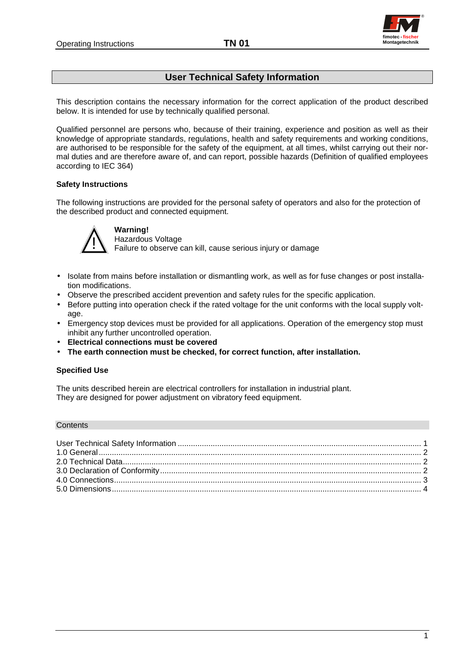

## **User Technical Safety Information**

This description contains the necessary information for the correct application of the product described below. It is intended for use by technically qualified personal.

Qualified personnel are persons who, because of their training, experience and position as well as their knowledge of appropriate standards, regulations, health and safety requirements and working conditions, are authorised to be responsible for the safety of the equipment, at all times, whilst carrying out their normal duties and are therefore aware of, and can report, possible hazards (Definition of qualified employees according to IEC 364)

## **Safety Instructions**

The following instructions are provided for the personal safety of operators and also for the protection of the described product and connected equipment.



## **Warning!**

Hazardous Voltage Failure to observe can kill, cause serious injury or damage

- Isolate from mains before installation or dismantling work, as well as for fuse changes or post installation modifications.
- Observe the prescribed accident prevention and safety rules for the specific application.
- Before putting into operation check if the rated voltage for the unit conforms with the local supply voltage.
- Emergency stop devices must be provided for all applications. Operation of the emergency stop must inhibit any further uncontrolled operation.
- **Electrical connections must be covered**
- **The earth connection must be checked, for correct function, after installation.**

### **Specified Use**

The units described herein are electrical controllers for installation in industrial plant. They are designed for power adjustment on vibratory feed equipment.

#### **Contents**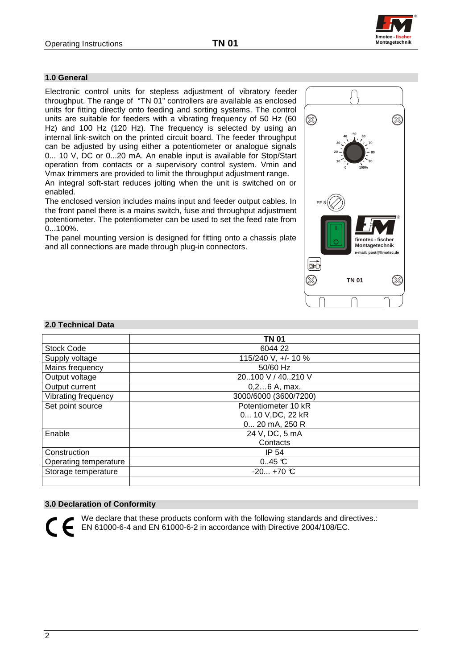**fimotec Montagetechnik - fischer**

®

# **1.0 General**

Electronic control units for stepless adjustment of vibratory feeder throughput. The range of "TN 01" controllers are available as enclosed units for fitting directly onto feeding and sorting systems. The control units are suitable for feeders with a vibrating frequency of 50 Hz (60 Hz) and 100 Hz (120 Hz). The frequency is selected by using an internal link-switch on the printed circuit board. The feeder throughput can be adjusted by using either a potentiometer or analogue signals 0... 10 V, DC or 0...20 mA. An enable input is available for Stop/Start operation from contacts or a supervisory control system. Vmin and Vmax trimmers are provided to limit the throughput adjustment range. An integral soft-start reduces jolting when the unit is switched on or enabled.

The enclosed version includes mains input and feeder output cables. In the front panel there is a mains switch, fuse and throughput adjustment potentiometer. The potentiometer can be used to set the feed rate from 0...100%.

The panel mounting version is designed for fitting onto a chassis plate and all connections are made through plug-in connectors.



#### **2.0 Technical Data**

|                       | <b>TN 01</b>          |
|-----------------------|-----------------------|
| <b>Stock Code</b>     | 6044 22               |
| Supply voltage        | 115/240 V, +/- 10 %   |
| Mains frequency       | 50/60 Hz              |
| Output voltage        | 20100 V / 40210 V     |
| Output current        | 0,26 A, max.          |
| Vibrating frequency   | 3000/6000 (3600/7200) |
| Set point source      | Potentiometer 10 kR   |
|                       | 0 10 V, DC, 22 kR     |
|                       | 0 20 mA, 250 R        |
| Enable                | 24 V, DC, 5 mA        |
|                       | Contacts              |
| Construction          | IP 54                 |
| Operating temperature | $0.45 \text{ C}$      |
| Storage temperature   | $-20 + 70$ °C         |
|                       |                       |

#### **3.0 Declaration of Conformity**

We declare that these products conform with the following standards and directives.: EN 61000-6-4 and EN 61000-6-2 in accordance with Directive 2004/108/EC.

2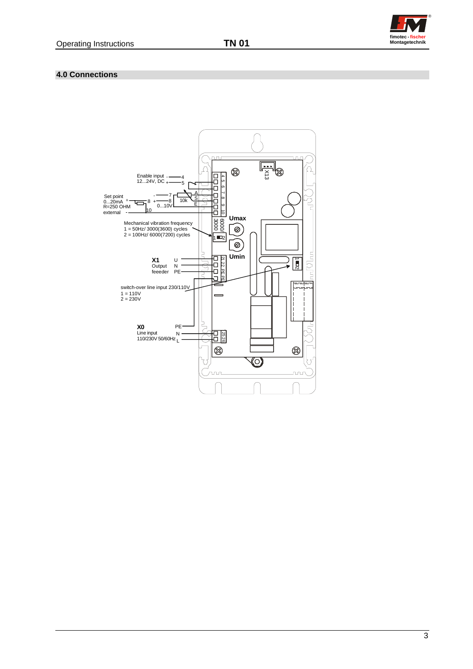

## **4.0 Connections**